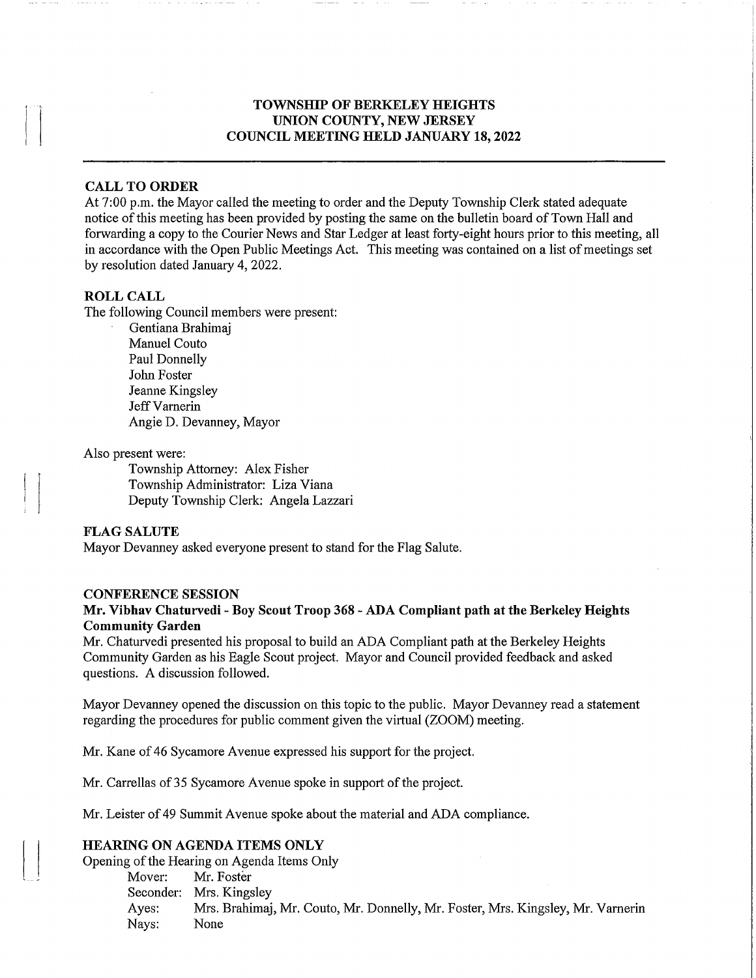# TOWNSHIP OF BERKELEY HEIGHTS UNION COUNTY, NEW JERSEY COUNCIL MEETING HELD JANUARY 18, 2022

#### CALL TO ORDER

At 7:00 p.m. the Mayor called the meeting to order and the Deputy Township Clerk stated adequate notice of this meeting has been provided by posting the same on the bulletin board of Town Hall and forwarding a copy to the Courier News and Star Ledger at least forty-eight hours prior to this meeting, all in accordance with the Open Public Meetings Act. This meeting was contained on a list of meetings set by resolution dated January 4, 2022.

#### ROLL CALL

The following Council members were present:

Gentiana Brahimaj Manuel Couto Paul Donnelly John Foster Jeanne Kingsley Jeff Varnerin Angie D. Devanney, Mayor

# Also present were:

Township Attorney: Alex Fisher Township Administrator: Liza Viana Deputy Township Clerk: Angela Lazzari

# FLAG SALUTE

Mayor Devanney asked everyone present to stand for the Flag Salute.

#### CONFERENCE SESSION

## Mr. Vibhav Chaturvedi - Boy Scout Troop 368 - ADA Compliant path at the Berkeley Heights Community Garden

Mr. Chaturvedi presented his proposal to build an ADA Compliant path at the Berkeley Heights Community Garden as his Eagle Scout project. Mayor and Council provided feedback and asked questions. A discussion followed.

Mayor Devanney opened the discussion on this topic to the public. Mayor Devanney read a statement regarding the procedures for public comment given the virtual (ZOOM) meeting.

Mr. Kane of 46 Sycamore Avenue expressed his support for the project.

Mr. Carrellas of 35 Sycamore Avenue spoke in support of the project.

Mr. Leister of 49 Summit Avenue spoke about the material and ADA compliance.

# HEARING ON AGENDA ITEMS ONLY

Opening of the Hearing on Agenda Items Only

Mover: Mr. Foster Seconder: Mrs. Kingsley Ayes: Mrs. Brahimaj, Mr. Couto, Mr. Donnelly, Mr. Foster, Mrs. Kingsley, Mr. Vamerin Nays: None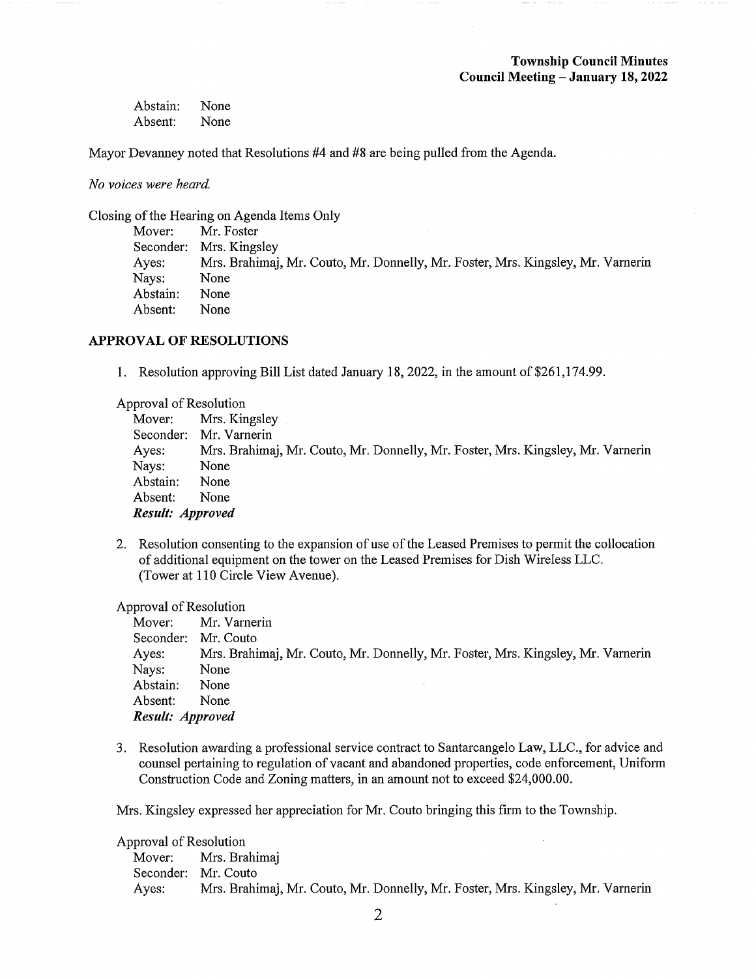| Abstain: | None |
|----------|------|
| Absent:  | None |

Mayor Devanney noted that Resolutions #4 and #8 are being pulled from the Agenda.

No voices were heard.

Closing of the Hearing on Agenda Items Only

| Mover:   | Mr. Foster                                                                      |
|----------|---------------------------------------------------------------------------------|
|          | Seconder: Mrs. Kingsley                                                         |
| Ayes:    | Mrs. Brahimaj, Mr. Couto, Mr. Donnelly, Mr. Foster, Mrs. Kingsley, Mr. Varnerin |
| Nays:    | None                                                                            |
| Abstain: | None                                                                            |
| Absent:  | None                                                                            |

# APPROVAL OF RESOLUTIONS

1. Resolution approving Bill List dated January 18, 2022, in the amount of \$261,174.99.

Approval of Resolution

|                  | Mover: Mrs. Kingsley                                                            |
|------------------|---------------------------------------------------------------------------------|
|                  | Seconder: Mr. Varnerin                                                          |
| Ayes:            | Mrs. Brahimaj, Mr. Couto, Mr. Donnelly, Mr. Foster, Mrs. Kingsley, Mr. Varnerin |
| Nays:            | None                                                                            |
| Abstain:         | None                                                                            |
| Absent:          | None                                                                            |
| Result: Approved |                                                                                 |

2. Resolution consenting to the expansion of use of the Leased Premises to permit the collocation of additional equipment on the tower on the Leased Premises for Dish Wireless LLC. (Tower at 110 Circle View Avenue).

Approval of Resolution

|                     | Mover: Mr. Varnerin                                                             |
|---------------------|---------------------------------------------------------------------------------|
| Seconder: Mr. Couto |                                                                                 |
| Ayes:               | Mrs. Brahimaj, Mr. Couto, Mr. Donnelly, Mr. Foster, Mrs. Kingsley, Mr. Varnerin |
| Nays:               | None                                                                            |
| Abstain:            | None                                                                            |
| Absent:             | None                                                                            |
| Result: Approved    |                                                                                 |

3. Resolution awarding a professional service contract to Santarcangelo Law, LLC., for advice and counsel pertaining to regulation of vacant and abandoned properties, code enforcement, Uniform Construction Code and Zoning matters, in an amount not to exceed \$24,000.00.

Mrs. Kingsley expressed her appreciation for Mr. Couto bringing this firm to the Township.

Approval of Resolution Mover: Mrs. Brahimaj Seconder: Mr. Couto Ayes: Mrs. Brahimaj, Mr. Couto, Mr. Donnelly, Mr. Foster, Mrs. Kingsley, Mr. Varnerin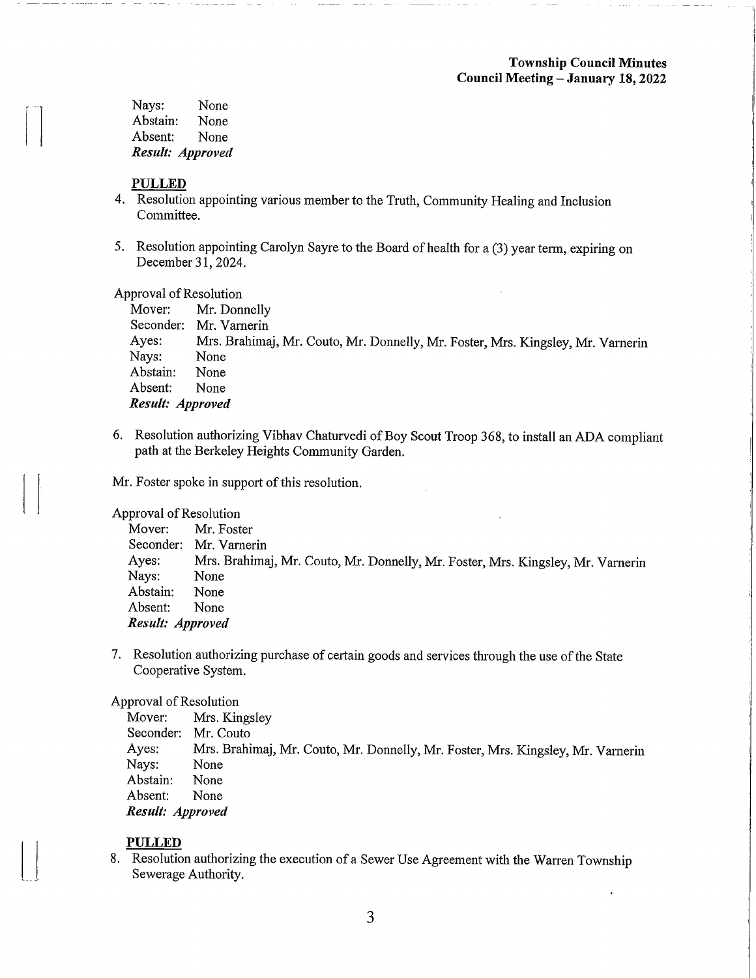Nays: None<br>Abstain: None Abstain: None<br>Absent: None Absent: Result: Approved

# PULLED

- 4. Resolution appointing various member to the Truth, Community Healing and Inclusion Committee.
- 5. Resolution appointing Carolyn Sayre to the Board of health for a (3) year term, expiring on December 31,2024.

#### Approval of Resolution

|                  | Mover: Mr. Donnelly                                                             |
|------------------|---------------------------------------------------------------------------------|
|                  | Seconder: Mr. Varnerin                                                          |
| Ayes:            | Mrs. Brahimaj, Mr. Couto, Mr. Donnelly, Mr. Foster, Mrs. Kingsley, Mr. Varnerin |
| Nays:            | None                                                                            |
| Abstain:         | None                                                                            |
| Absent:          | None                                                                            |
| Result: Approved |                                                                                 |

6. Resolution authorizing Vibhav Chatirvedi of Boy Scout Troop 368, to install an ADA compliant path at the Berkeley Heights Community Garden.

Mr. Foster spoke in support of this resolution.

#### Approval of Resolution

| Mover:           | Mr. Foster                                                                      |
|------------------|---------------------------------------------------------------------------------|
|                  | Seconder: Mr. Varnerin                                                          |
| Ayes:            | Mrs. Brahimaj, Mr. Couto, Mr. Donnelly, Mr. Foster, Mrs. Kingsley, Mr. Varnerin |
| Nays:            | None                                                                            |
| Abstain:         | None                                                                            |
| Absent:          | None                                                                            |
| Result: Approved |                                                                                 |
|                  |                                                                                 |

7. Resolution authorizing purchase of certain goods and services through the use of the State Cooperative System.

# Approval of Resolution<br>Mover: Mrs. Kir

Mrs. Kingsley Seconder: Mr. Couto<br>Ayes: Mrs. Brahi Ayes: Mrs. Brahimaj, Mr. Couto, Mr. Donnelly, Mr. Foster, Mrs. Kingsley, Mr. Varnerin<br>Nays: None None<br>None Abstain: None<br>Absent: None Absent: Result: Approved

# PULLED

8. Resolution authorizing the execution of a Sewer Use Agreement with the Warren Township Sewerage Authority.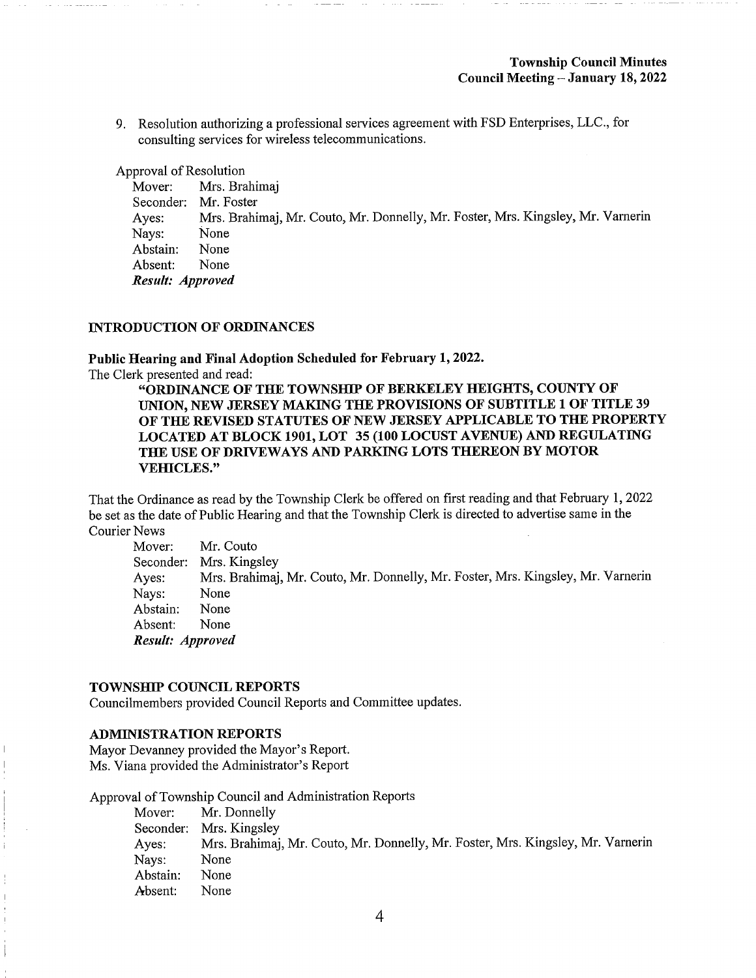9. Resolution authorizing a professional services agreement with FSD Enterprises, LLC., for consulting services for wireless telecommunications.

Approval of Resolution

Mover: Mrs. Brahimaj Seconder: Mr. Foster Ayes: Mrs. Brahimaj, Mr. Couto, Mr. Donnelly, Mr. Foster, Mrs. Kingsley, Mr. Vamerin Nays: None<br>Abstain: None Abstain: None<br>Absent: None Absent: Result: Approved

#### INTRODUCTION OF ORDINANCES

Public Hearing and Final Adoption Scheduled for February 1,2022.

The Clerk presented and read:

"ORDINANCE OF THE TOWNSHIP OF BERKELEY HEIGHTS, COUNTY OF UNION, NEW JERSEY MAKING THE PROVISIONS OF SUBTITLE 1 OF TITLE 39 OF THE REVISED STATUTES OF NEW JERSEY APPLICABLE TO THE PROPERTY LOCATED AT BLOCK 1901, LOT 35 (100 LOCUST AVENUE) AND REGULATING THE USE OF DRIVEWAYS AND PARKING LOTS THEREON BY MOTOR VEHICLES."

That the Ordinance as read by the Township Clerk be offered on first reading and that February 1, 2022 be set as the date of Public Hearing and that the Township Clerk is directed to advertise same in the Courier News

Mover: Mr. Couto Seconder: Mrs. Kingsley Ayes: Mrs. Brahimaj, Mr. Couto, Mr. Donnelly, Mr. Foster, Mrs. Kingsley, Mr. Varnerin Nays: None<br>Abstain: None Abstain: Absent: None Result: Approved

## TOWNSHIP COUNCIL REPORTS

Councilmembers provided Council Reports and Committee updates.

# ADMINISTRATION REPORTS

Mayor Devanney provided the Mayor's Report. Ms. Viana provided the Administrator's Report

Approval of Township Council and Administration Reports

Mover: Mr. Donnelly Seconder: Mrs. Kingsley Ayes: Mrs. Brahimaj, Mr. Couto, Mr. Donnelly, Mr. Foster, Mrs. Kingsley, Mr. Varnerin Nays: None Abstain: None Absent: None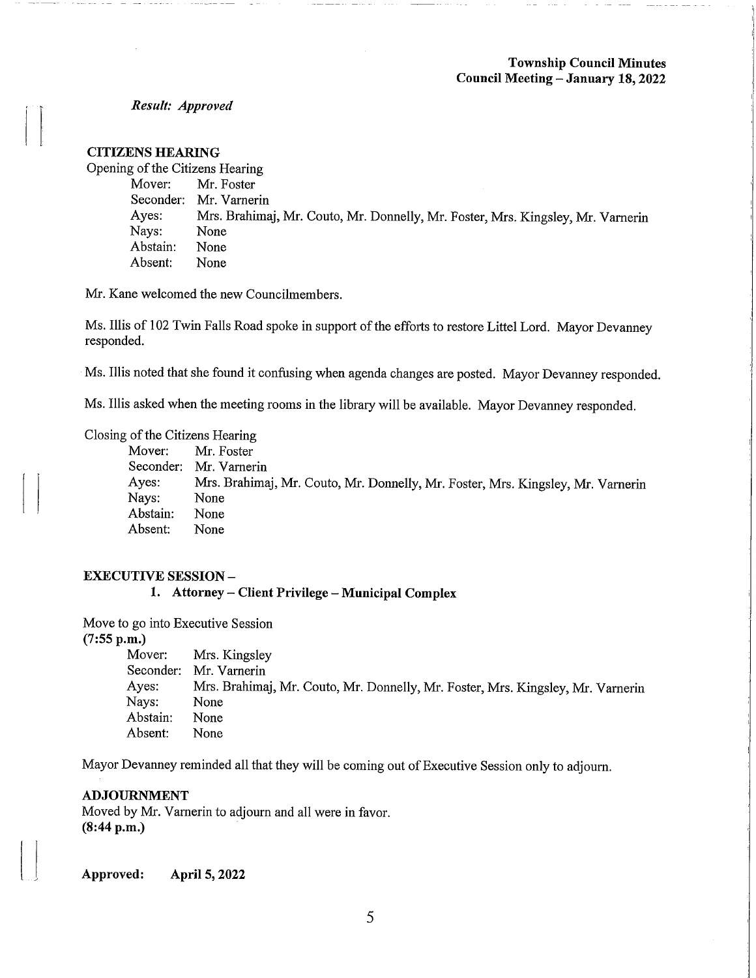Result: Approved

## CITIZENS HEARING

Opening of the Citizens Hearing<br>Mover: Mr. Foster Mr. Foster Seconder: Mr. Varnerin<br>Ayes: Mrs. Brahima Mrs. Brahimaj, Mr. Couto, Mr. Donnelly, Mr. Foster, Mrs. Kingsley, Mr. Varnerin<br>None Nays: None<br>Abstain: None Abstain: None<br>Absent: None Absent:

Mr. Kane welcomed the new Councilmembers.

Ms. Illis of 102 Twin Falls Road spoke in support of the efforts to restore Littel Lord. Mayor Devanney responded.

Ms. Illis noted that she found it confusing when agenda changes are posted. Mayor Devanney responded.

Ms. Illis asked when the meeting rooms in the library will be available. Mayor Devanney responded.

# Closing of the Citizens Hearing

Mr. Foster Seconder: Mr. Varnerin<br>Ayes: Mrs. Brahima Mrs. Brahimaj, Mr. Couto, Mr. Donnelly, Mr. Foster, Mrs. Kingsley, Mr. Varnerin<br>None Nays: None<br>Abstain: None Abstain: None<br>Absent: None Absent:

## EXECUTIVE SESSION -

1. Attorney – Client Privilege – Municipal Complex

Move to go into Executive Session  $(7:55 \text{ p.m.})$ <br>Mover:

Mover: Mrs. Kingsley<br>Seconder: Mr. Varnerin Seconder: Mr. Varnerin<br>Ayes: Mrs. Brahima Ayes: Mrs. Brahimaj, Mr. Couto, Mr. Donnelly, Mr. Foster, Mrs. Kingsley, Mr. Vamerin None<br>None Abstain: None<br>Absent: None Absent:

Mayor Devanney reminded all that they will be coming out of Executive Session only to adjourn.

#### ADJOURNMENT

Moved by Mr. Vamerin to adjourn and all were in favor. (8:44 p.m.)

Approved: April 5,2022